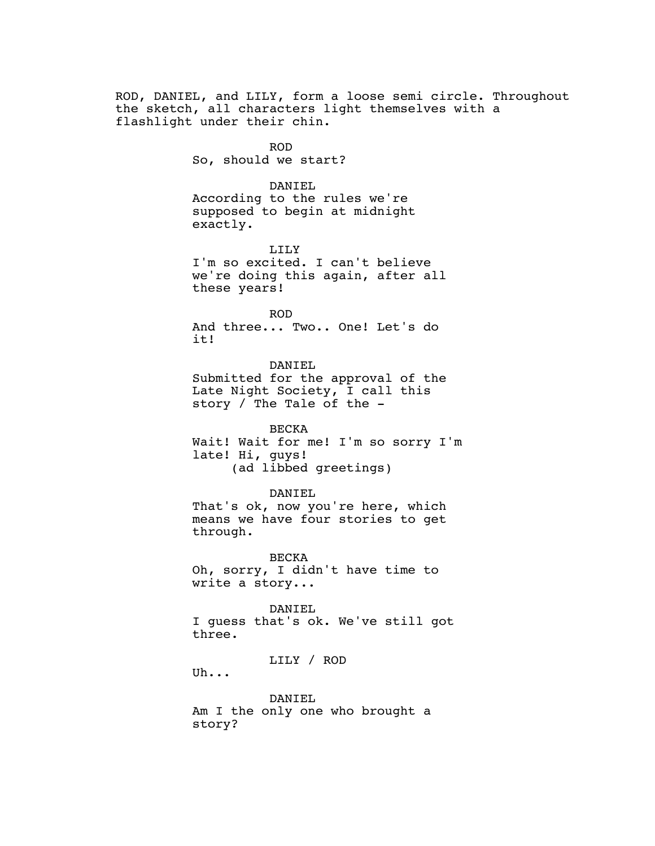ROD, DANIEL, and LILY, form a loose semi circle. Throughout the sketch, all characters light themselves with a flashlight under their chin. ROD So, should we start? DANIEL According to the rules we're supposed to begin at midnight exactly. LILY

> I'm so excited. I can't believe we're doing this again, after all these years!

> > ROD

And three... Two.. One! Let's do it!

DANIEL Submitted for the approval of the Late Night Society, I call this story / The Tale of the -

BECKA Wait! Wait for me! I'm so sorry I'm late! Hi, guys! (ad libbed greetings)

DANIEL

That's ok, now you're here, which means we have four stories to get through.

BECKA Oh, sorry, I didn't have time to write a story...

DANIEL I guess that's ok. We've still got three.

LILY / ROD

Uh...

DANIEL Am I the only one who brought a story?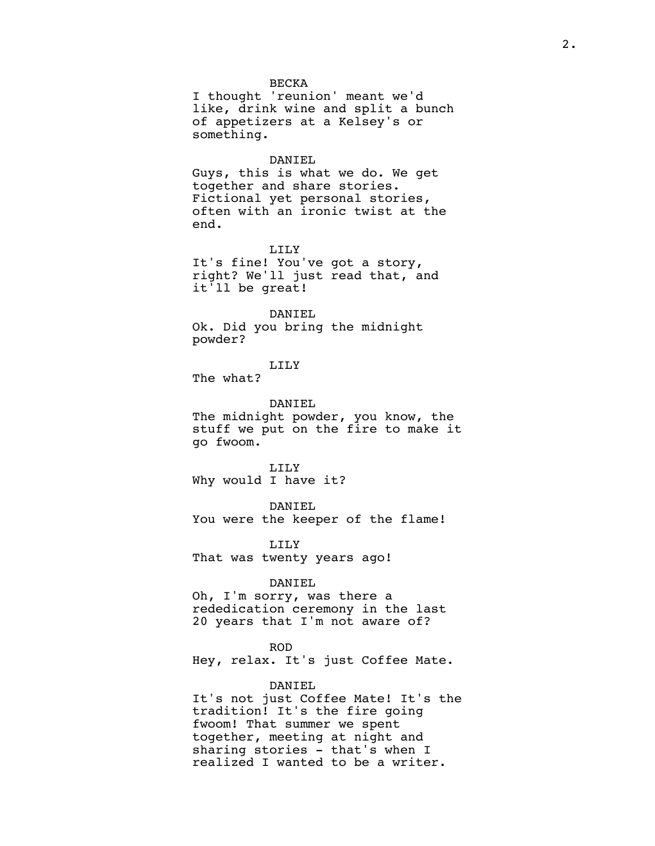### BECKA

I thought 'reunion' meant we'd like, drink wine and split a bunch of appetizers at a Kelsey's or something.

#### DANIEL

Guys, this is what we do. We get together and share stories. Fictional yet personal stories, often with an ironic twist at the end.

LILY

It's fine! You've got a story, right? We'll just read that, and it'll be great!

#### DANIEL

Ok. Did you bring the midnight powder?

LILY

The what?

## DANIEL

The midnight powder, you know, the stuff we put on the fire to make it go fwoom.

LILY Why would I have it?

DANIEL

You were the keeper of the flame!

LILY That was twenty years ago!

#### DANIEL

Oh, I'm sorry, was there a rededication ceremony in the last 20 years that I'm not aware of?

### ROD

Hey, relax. It's just Coffee Mate.

## DANIEL

It's not just Coffee Mate! It's the tradition! It's the fire going fwoom! That summer we spent together, meeting at night and sharing stories - that's when I realized I wanted to be a writer.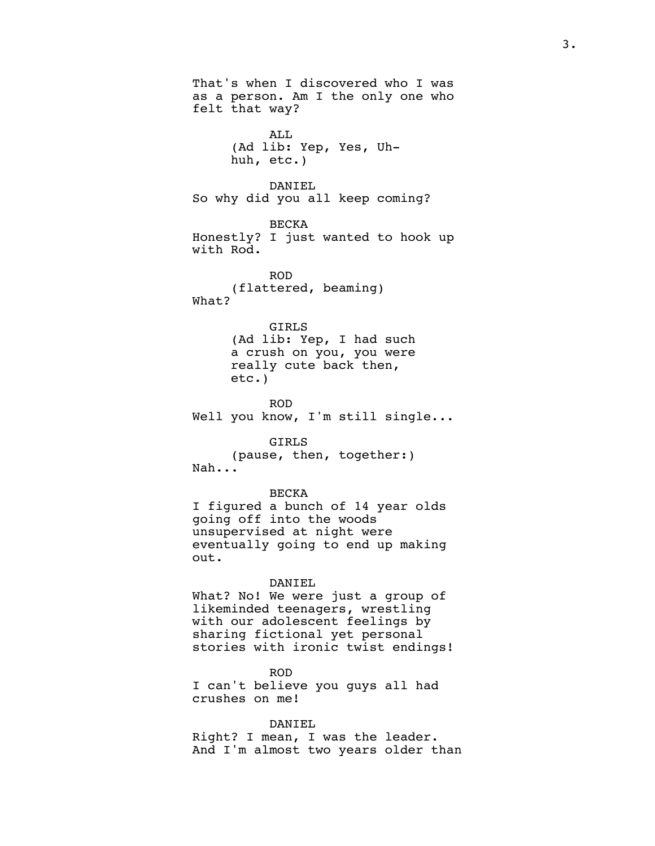That's when I discovered who I was as a person. Am I the only one who felt that way? ALL (Ad lib: Yep, Yes, Uhhuh, etc.) DANIEL So why did you all keep coming? BECKA Honestly? I just wanted to hook up with Rod. ROD (flattered, beaming) What? GIRLS (Ad lib: Yep, I had such a crush on you, you were really cute back then, etc.) ROD Well you know, I'm still single... GIRLS (pause, then, together:) Nah... BECKA I figured a bunch of 14 year olds going off into the woods unsupervised at night were eventually going to end up making out. DANIEL What? No! We were just a group of likeminded teenagers, wrestling with our adolescent feelings by sharing fictional yet personal stories with ironic twist endings! ROD I can't believe you guys all had crushes on me!

DANIEL Right? I mean, I was the leader. And I'm almost two years older than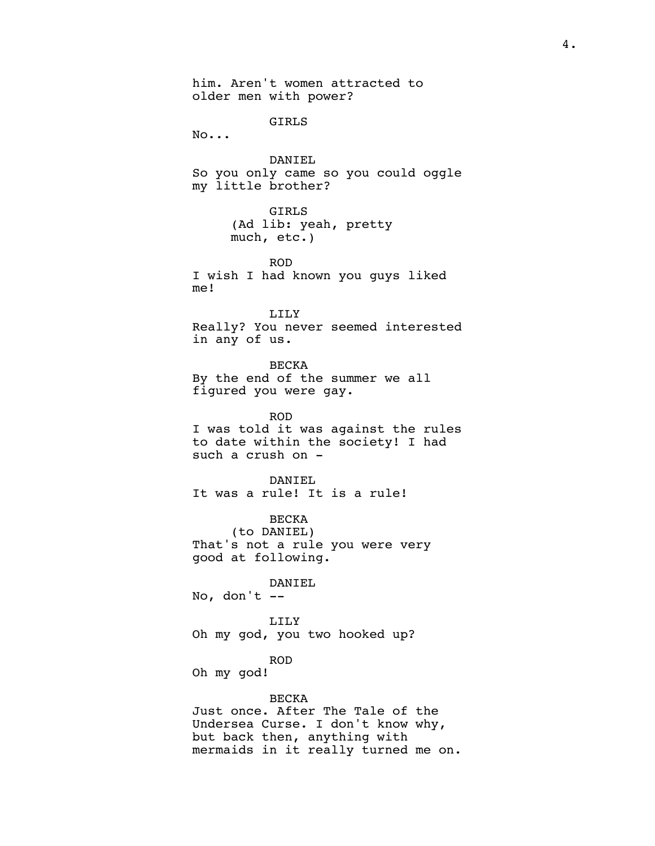him. Aren't women attracted to older men with power? GIRLS No... DANIEL So you only came so you could oggle my little brother? GIRLS (Ad lib: yeah, pretty much, etc.) ROD I wish I had known you guys liked me! LILY Really? You never seemed interested in any of us. BECKA By the end of the summer we all figured you were gay. ROD I was told it was against the rules to date within the society! I had such a crush on - DANIEL It was a rule! It is a rule! BECKA (to DANIEL) That's not a rule you were very good at following. DANIEL No, don't  $-$ LILY Oh my god, you two hooked up? ROD Oh my god! BECKA Just once. After The Tale of the Undersea Curse. I don't know why, but back then, anything with mermaids in it really turned me on.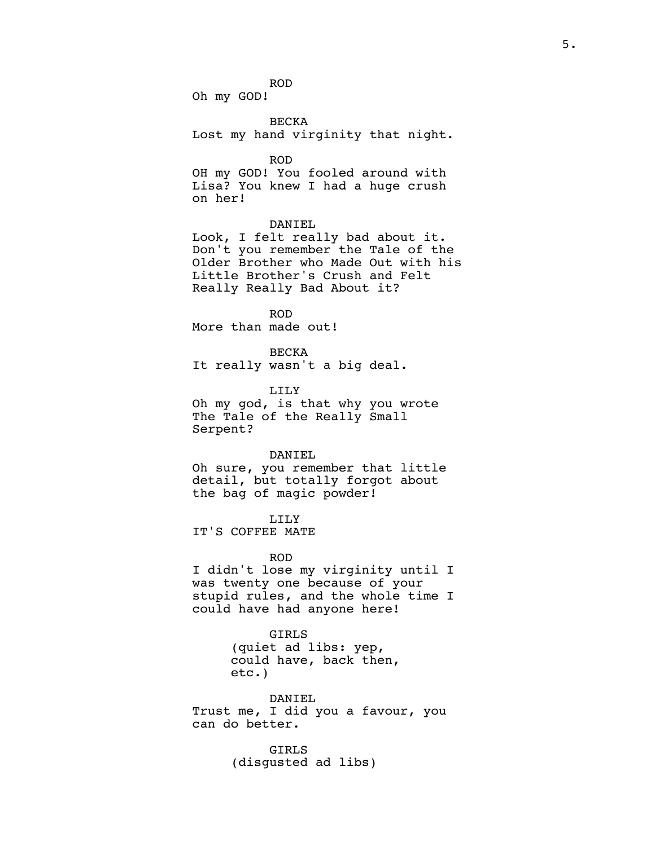ROD

Oh my GOD!

BECKA

Lost my hand virginity that night.

ROD

OH my GOD! You fooled around with Lisa? You knew I had a huge crush on her!

## DANIEL

Look, I felt really bad about it. Don't you remember the Tale of the Older Brother who Made Out with his Little Brother's Crush and Felt Really Really Bad About it?

ROD

More than made out!

BECKA It really wasn't a big deal.

LILY

Oh my god, is that why you wrote The Tale of the Really Small Serpent?

### DANIEL

Oh sure, you remember that little detail, but totally forgot about the bag of magic powder!

## LILY

IT'S COFFEE MATE

## ROD

I didn't lose my virginity until I was twenty one because of your stupid rules, and the whole time I could have had anyone here!

# GIRLS

(quiet ad libs: yep, could have, back then, etc.)

DANIEL Trust me, I did you a favour, you can do better.

> GIRLS (disgusted ad libs)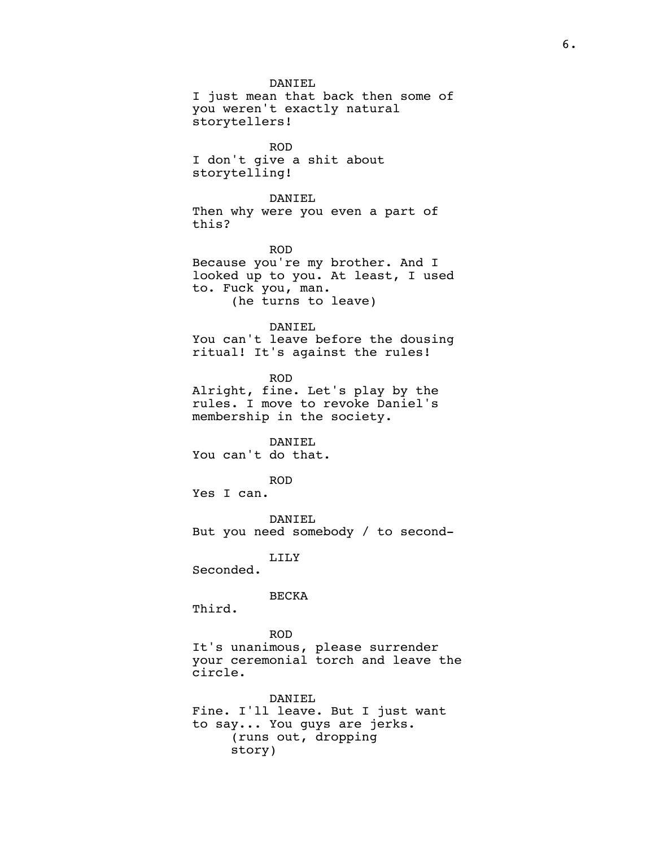DANIEL I just mean that back then some of you weren't exactly natural storytellers! ROD I don't give a shit about storytelling! DANIEL Then why were you even a part of this? ROD Because you're my brother. And I looked up to you. At least, I used to. Fuck you, man. (he turns to leave) DANIEL You can't leave before the dousing ritual! It's against the rules! ROD Alright, fine. Let's play by the rules. I move to revoke Daniel's membership in the society. DANIEL You can't do that. ROD Yes I can. DANIEL But you need somebody / to second-LILY Seconded. BECKA Third. ROD It's unanimous, please surrender your ceremonial torch and leave the circle. DANIEL Fine. I'll leave. But I just want to say... You guys are jerks. (runs out, dropping story)